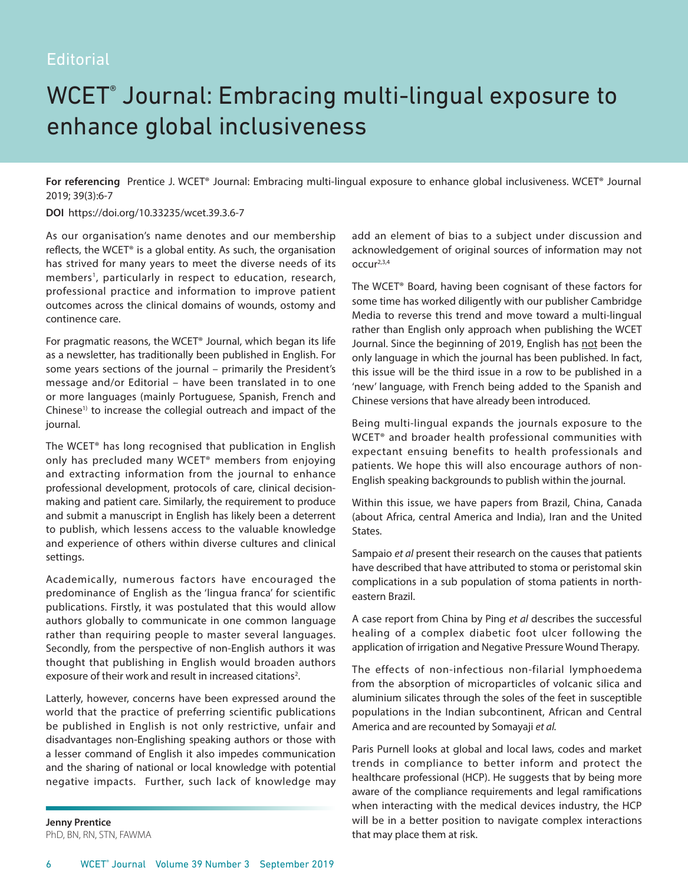## WCET® Journal: Embracing multi-lingual exposure to enhance global inclusiveness

**For referencing** Prentice J. WCET® Journal: Embracing multi-lingual exposure to enhance global inclusiveness. WCET® Journal 2019; 39(3):6-7

**DOI** https://doi.org/10.33235/wcet.39.3.6-7

As our organisation's name denotes and our membership reflects, the WCET® is a global entity. As such, the organisation has strived for many years to meet the diverse needs of its members<sup>1</sup>, particularly in respect to education, research, professional practice and information to improve patient outcomes across the clinical domains of wounds, ostomy and continence care.

For pragmatic reasons, the WCET® Journal, which began its life as a newsletter, has traditionally been published in English. For some years sections of the journal – primarily the President's message and/or Editorial – have been translated in to one or more languages (mainly Portuguese, Spanish, French and Chinese<sup>1)</sup> to increase the collegial outreach and impact of the journal.

The WCET® has long recognised that publication in English only has precluded many WCET® members from enjoying and extracting information from the journal to enhance professional development, protocols of care, clinical decisionmaking and patient care. Similarly, the requirement to produce and submit a manuscript in English has likely been a deterrent to publish, which lessens access to the valuable knowledge and experience of others within diverse cultures and clinical settings.

Academically, numerous factors have encouraged the predominance of English as the 'lingua franca' for scientific publications. Firstly, it was postulated that this would allow authors globally to communicate in one common language rather than requiring people to master several languages. Secondly, from the perspective of non-English authors it was thought that publishing in English would broaden authors exposure of their work and result in increased citations<sup>2</sup>.

Latterly, however, concerns have been expressed around the world that the practice of preferring scientific publications be published in English is not only restrictive, unfair and disadvantages non-Englishing speaking authors or those with a lesser command of English it also impedes communication and the sharing of national or local knowledge with potential negative impacts. Further, such lack of knowledge may

**Jenny Prentice**  PhD, BN, RN, STN, FAWMA add an element of bias to a subject under discussion and acknowledgement of original sources of information may not occur2,3,4

The WCET® Board, having been cognisant of these factors for some time has worked diligently with our publisher Cambridge Media to reverse this trend and move toward a multi-lingual rather than English only approach when publishing the WCET Journal. Since the beginning of 2019, English has not been the only language in which the journal has been published. In fact, this issue will be the third issue in a row to be published in a 'new' language, with French being added to the Spanish and Chinese versions that have already been introduced.

Being multi-lingual expands the journals exposure to the WCET® and broader health professional communities with expectant ensuing benefits to health professionals and patients. We hope this will also encourage authors of non-English speaking backgrounds to publish within the journal.

Within this issue, we have papers from Brazil, China, Canada (about Africa, central America and India), Iran and the United States.

Sampaio *et al* present their research on the causes that patients have described that have attributed to stoma or peristomal skin complications in a sub population of stoma patients in northeastern Brazil.

A case report from China by Ping *et al* describes the successful healing of a complex diabetic foot ulcer following the application of irrigation and Negative Pressure Wound Therapy.

The effects of non-infectious non-filarial lymphoedema from the absorption of microparticles of volcanic silica and aluminium silicates through the soles of the feet in susceptible populations in the Indian subcontinent, African and Central America and are recounted by Somayaji *et al.*

Paris Purnell looks at global and local laws, codes and market trends in compliance to better inform and protect the healthcare professional (HCP). He suggests that by being more aware of the compliance requirements and legal ramifications when interacting with the medical devices industry, the HCP will be in a better position to navigate complex interactions that may place them at risk.